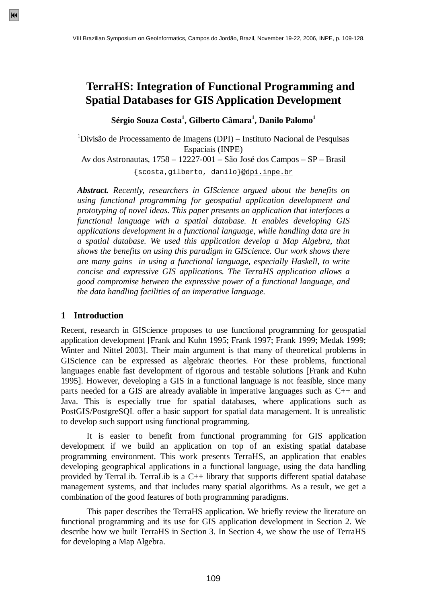$\mathbf{Sérgio Souza Costa}^{1}, \mathbf{Gilberto Câmara}^{1}, \mathbf{Danilo Palomo}^{1}$ 

<sup>1</sup>Divisão de Processamento de Imagens (DPI) – Instituto Nacional de Pesquisas Espaciais (INPE)

Av dos Astronautas, 1758 – 12227-001 – São José dos Campos – SP – Brasil

{scosta,gilberto, danilo[}@dpi.inpe.br](mailto:@dpi.inpe.br)

*Abstract. Recently, researchers in GIScience argued about the benefits on using functional programming for geospatial application development and prototyping of novel ideas. This paper presents an application that interfaces a functional language with a spatial database. It enables developing GIS applications development in a functional language, while handling data are in a spatial database. We used this application develop a Map Algebra, that shows the benefits on using this paradigm in GIScience. Our work shows there are many gains in using a functional language, especially Haskell, to write concise and expressive GIS applications. The TerraHS application allows a good compromise between the expressive power of a functional language, and the data handling facilities of an imperative language.*

## **1 Introduction**

Recent, research in GIScience proposes to use functional programming for geospatial application development [Frank and Kuhn 1995; Frank 1997; Frank 1999; Medak 1999; Winter and Nittel 2003]. Their main argument is that many of theoretical problems in GIScience can be expressed as algebraic theories. For these problems, functional languages enable fast development of rigorous and testable solutions [Frank and Kuhn 1995]. However, developing a GIS in a functional language is not feasible, since many parts needed for a GIS are already avaliable in imperative languages such as C++ and Java. This is especially true for spatial databases, where applications such as PostGIS/PostgreSQL offer a basic support for spatial data management. It is unrealistic to develop such support using functional programming.

It is easier to benefit from functional programming for GIS application development if we build an application on top of an existing spatial database programming environment. This work presents TerraHS, an application that enables developing geographical applications in a functional language, using the data handling provided by TerraLib. TerraLib is a C++ library that supports different spatial database management systems, and that includes many spatial algorithms. As a result, we get a combination of the good features of both programming paradigms.

This paper describes the TerraHS application. We briefly review the literature on functional programming and its use for GIS application development in Section 2. We describe how we built TerraHS in Section 3. In Section 4, we show the use of TerraHS for developing a Map Algebra.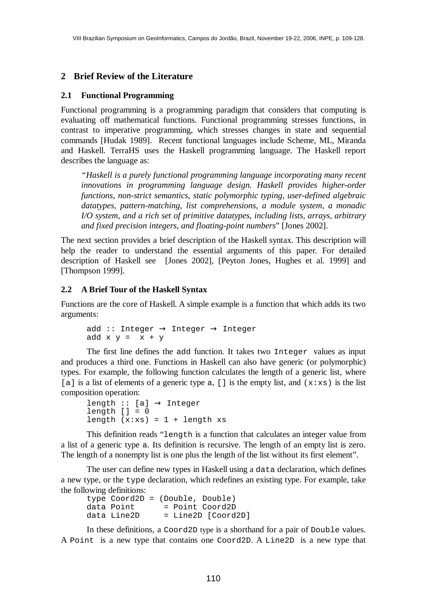## **2 Brief Review of the Literature**

#### **2.1 Functional Programming**

Functional programming is a programming paradigm that considers that computing is evaluating off mathematical functions. Functional programming stresses functions, in contrast to imperative programming, which stresses changes in state and sequential commands [Hudak 1989]. Recent functional languages include Scheme, ML, Miranda and Haskell. TerraHS uses the Haskell programming language. The Haskell report describes the language as:

*"Haskell is a purely functional programming language incorporating many recent innovations in programming language design. Haskell provides higher-order functions, non-strict semantics, static polymorphic typing, user-defined algebraic datatypes, pattern-matching, list comprehensions, a module system, a monadic I/O system, and a rich set of primitive datatypes, including lists, arrays, arbitrary and fixed precision integers, and floating-point numbers*" [Jones 2002].

The next section provides a brief description of the Haskell syntax. This description will help the reader to understand the essential arguments of this paper. For detailed description of Haskell see [Jones 2002], [Peyton Jones, Hughes et al. 1999] and [Thompson 1999].

#### **2.2 A Brief Tour of the Haskell Syntax**

Functions are the core of Haskell. A simple example is a function that which adds its two arguments:

```
add :: Integer \rightarrow Integer \rightarrow Integeradd x y = x + y
```
The first line defines the add function. It takes two Integer values as input and produces a third one. Functions in Haskell can also have generic (or polymorphic) types. For example, the following function calculates the length of a generic list, where [a] is a list of elements of a generic type a, [] is the empty list, and  $(x:xs)$  is the list composition operation:

```
length :: [a] \rightarrow Integer
length [] = 0length (x:xs) = 1 + length xs
```
This definition reads "length is a function that calculates an integer value from a list of a generic type a. Its definition is recursive. The length of an empty list is zero. The length of a nonempty list is one plus the length of the list without its first element".

The user can define new types in Haskell using a data declaration, which defines a new type, or the type declaration, which redefines an existing type. For example, take the following definitions:

| $type$ $Coord2D = (Double, Double)$ |  |                    |
|-------------------------------------|--|--------------------|
| data Point                          |  | = Point Coord2D    |
| data Line2D                         |  | = Line2D [Coord2D] |

In these definitions, a Coord2D type is a shorthand for a pair of Double values. A Point is a new type that contains one Coord2D. A Line2D is a new type that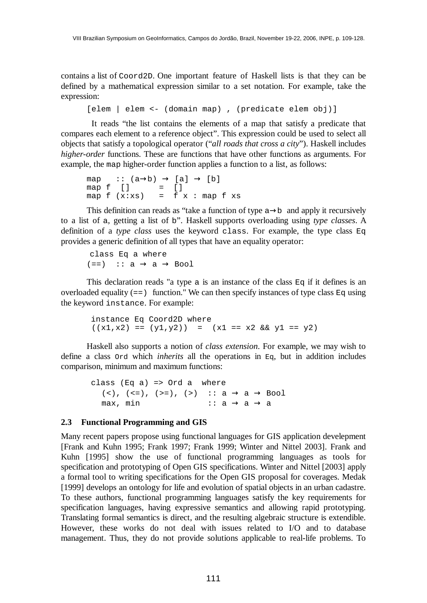contains a list of Coord2D. One important feature of Haskell lists is that they can be defined by a mathematical expression similar to a set notation. For example, take the expression:

[elem | elem <- (domain map), (predicate elem obj)]

 It reads "the list contains the elements of a map that satisfy a predicate that compares each element to a reference object". This expression could be used to select all objects that satisfy a topological operator ("*all roads that cross a city*"). Haskell includes *higher-order* functions. These are functions that have other functions as arguments. For example, the map higher-order function applies a function to a list, as follows:

```
map :: (a \rightarrow b) \rightarrow [a] \rightarrow [b] map f [] = [] 
map f(x:xs) = f(x:max)
```
This definition can reads as "take a function of type  $a \rightarrow b$  and apply it recursively to a list of a, getting a list of b". Haskell supports overloading using *type classes*. A definition of a *type class* uses the keyword class. For example, the type class Eq provides a generic definition of all types that have an equality operator:

 class Eq a where  $(==)$  ::  $a \rightarrow a \rightarrow$  Bool

This declaration reads "a type a is an instance of the class  $E_q$  if it defines is an overloaded equality (==) function." We can then specify instances of type class  $E_q$  using the keyword instance. For example:

 instance Eq Coord2D where  $((x1, x2) == (y1, y2)) = (x1 == x2 & & y1 == y2)$ 

Haskell also supports a notion of *class extension*. For example, we may wish to define a class Ord which *inherits* all the operations in Eq, but in addition includes comparison, minimum and maximum functions:

 class (Eq a) => Ord a where  $(\le)$ ,  $(\le)$ ,  $(\ge)$ ,  $(\ge)$ ,  $(\ge)$  ::  $a \rightarrow a \rightarrow B$ ool max, min  $\cdots$   $\cdots$   $\cdots$   $\cdots$   $\cdots$   $\cdots$   $\cdots$   $\cdots$   $\cdots$ 

#### **2.3 Functional Programming and GIS**

Many recent papers propose using functional languages for GIS application develepment [Frank and Kuhn 1995; Frank 1997; Frank 1999; Winter and Nittel 2003]. Frank and Kuhn [1995] show the use of functional programming languages as tools for specification and prototyping of Open GIS specifications. Winter and Nittel [2003] apply a formal tool to writing specifications for the Open GIS proposal for coverages. Medak [1999] develops an ontology for life and evolution of spatial objects in an urban cadastre. To these authors, functional programming languages satisfy the key requirements for specification languages, having expressive semantics and allowing rapid prototyping. Translating formal semantics is direct, and the resulting algebraic structure is extendible. However, these works do not deal with issues related to I/O and to database management. Thus, they do not provide solutions applicable to real-life problems. To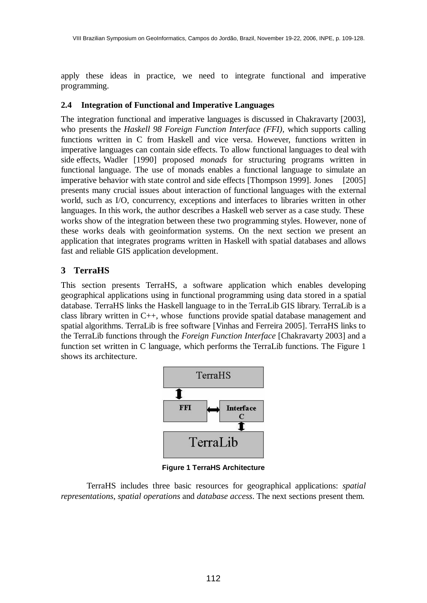apply these ideas in practice, we need to integrate functional and imperative programming.

# **2.4 Integration of Functional and Imperative Languages**

The integration functional and imperative languages is discussed in Chakravarty [2003], who presents the *Haskell 98 Foreign Function Interface (FFI),* which supports calling functions written in C from Haskell and vice versa. However, functions written in imperative languages can contain side effects. To allow functional languages to deal with side effects, Wadler [1990] proposed *monads* for structuring programs written in functional language. The use of monads enables a functional language to simulate an imperative behavior with state control and side effects [Thompson 1999]. Jones [2005] presents many crucial issues about interaction of functional languages with the external world, such as I/O, concurrency, exceptions and interfaces to libraries written in other languages. In this work, the author describes a Haskell web server as a case study. These works show of the integration between these two programming styles. However, none of these works deals with geoinformation systems. On the next section we present an application that integrates programs written in Haskell with spatial databases and allows fast and reliable GIS application development.

# **3 TerraHS**

This section presents TerraHS, a software application which enables developing geographical applications using in functional programming using data stored in a spatial database. TerraHS links the Haskell language to in the TerraLib GIS library. TerraLib is a class library written in C++, whose functions provide spatial database management and spatial algorithms. TerraLib is free software [Vinhas and Ferreira 2005]. TerraHS links to the TerraLib functions through the *Foreign Function Interface* [Chakravarty 2003] and a function set written in C language*,* which performs the TerraLib functions. The Figure 1 shows its architecture.



**Figure 1 TerraHS Architecture** 

TerraHS includes three basic resources for geographical applications: *spatial representations*, *spatial operations* and *database access*. The next sections present them.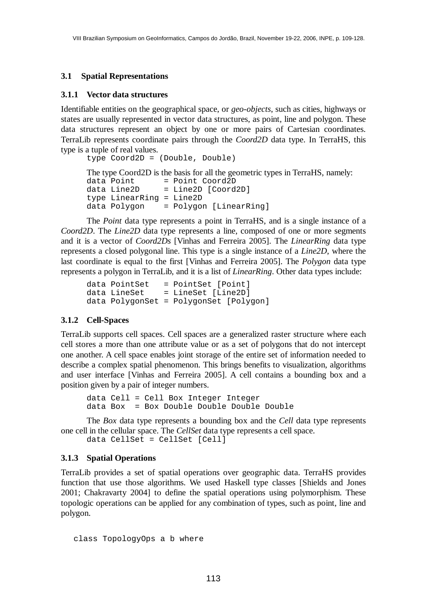#### **3.1 Spatial Representations**

#### **3.1.1 Vector data structures**

Identifiable entities on the geographical space, or *geo-objects*, such as cities, highways or states are usually represented in vector data structures, as point, line and polygon. These data structures represent an object by one or more pairs of Cartesian coordinates. TerraLib represents coordinate pairs through the *Coord2D* data type. In TerraHS, this type is a tuple of real values.

type Coord2D = (Double, Double)

The type Coord2D is the basis for all the geometric types in TerraHS, namely: data Point = Point Coord2D data Line2D = Line2D [Coord2D] type LinearRing = Line2D data Polygon = Polygon [LinearRing]

The *Point* data type represents a point in TerraHS, and is a single instance of a *Coord2D*. The *Line2D* data type represents a line, composed of one or more segments and it is a vector of *Coord2Ds* [Vinhas and Ferreira 2005]. The *LinearRing* data type represents a closed polygonal line. This type is a single instance of a *Line2D*, where the last coordinate is equal to the first [Vinhas and Ferreira 2005]. The *Polygon* data type represents a polygon in TerraLib, and it is a list of *LinearRing*. Other data types include:

```
data PointSet = PointSet [Point] 
data LineSet = LineSet [Line2D]
data PolygonSet = PolygonSet [Polygon]
```
### **3.1.2 Cell-Spaces**

TerraLib supports cell spaces. Cell spaces are a generalized raster structure where each cell stores a more than one attribute value or as a set of polygons that do not intercept one another. A cell space enables joint storage of the entire set of information needed to describe a complex spatial phenomenon. This brings benefits to visualization, algorithms and user interface [Vinhas and Ferreira 2005]. A cell contains a bounding box and a position given by a pair of integer numbers.

data Cell = Cell Box Integer Integer data Box = Box Double Double Double Double

The *Box* data type represents a bounding box and the *Cell* data type represents one cell in the cellular space. The *CellSet* data type represents a cell space.

data CellSet = CellSet [Cell]

#### **3.1.3 Spatial Operations**

TerraLib provides a set of spatial operations over geographic data. TerraHS provides function that use those algorithms. We used Haskell type classes [Shields and Jones 2001; Chakravarty 2004] to define the spatial operations using polymorphism. These topologic operations can be applied for any combination of types, such as point, line and polygon.

class TopologyOps a b where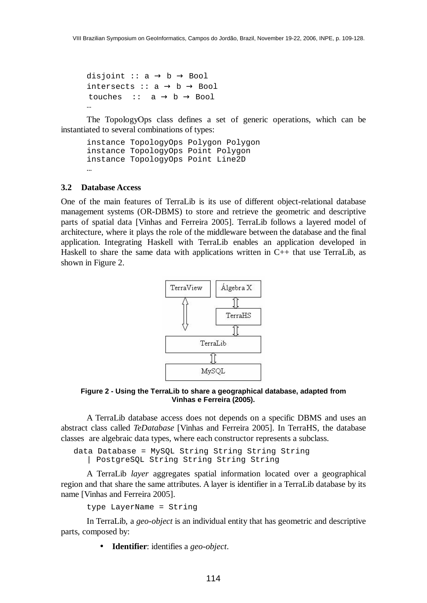disjoint  $: a \rightarrow b \rightarrow B$ ool intersects  $: a \rightarrow b \rightarrow B$ ool touches  $: a \rightarrow b \rightarrow B$ ool …

The TopologyOps class defines a set of generic operations, which can be instantiated to several combinations of types:

```
instance TopologyOps Polygon Polygon 
instance TopologyOps Point Polygon 
instance TopologyOps Point Line2D 
 …
```
#### **3.2 Database Access**

One of the main features of TerraLib is its use of different object-relational database management systems (OR-DBMS) to store and retrieve the geometric and descriptive parts of spatial data [Vinhas and Ferreira 2005]. TerraLib follows a layered model of architecture, where it plays the role of the middleware between the database and the final application. Integrating Haskell with TerraLib enables an application developed in Haskell to share the same data with applications written in C++ that use TerraLib, as shown in Figure 2.



**Figure 2 - Using the TerraLib to share a geographical database, adapted from Vinhas e Ferreira (2005).** 

A TerraLib database access does not depends on a specific DBMS and uses an abstract class called *TeDatabase* [Vinhas and Ferreira 2005]. In TerraHS, the database classes are algebraic data types, where each constructor represents a subclass.

data Database = MySQL String String String String | PostgreSQL String String String String

A TerraLib *layer* aggregates spatial information located over a geographical region and that share the same attributes. A layer is identifier in a TerraLib database by its name [Vinhas and Ferreira 2005].

type LayerName = String

In TerraLib, a *geo-object* is an individual entity that has geometric and descriptive parts, composed by:

• **Identifier**: identifies a *geo-object*.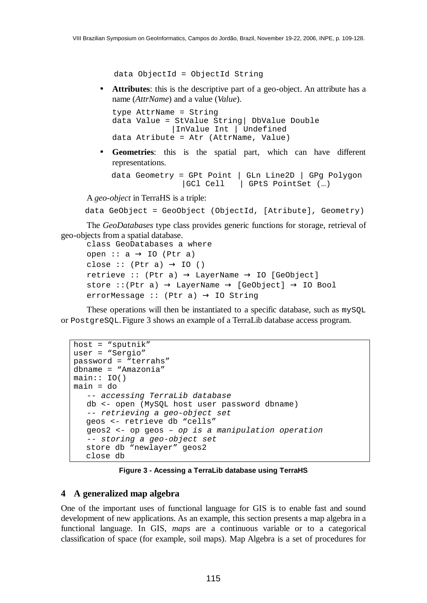data ObjectId = ObjectId String

• **Attributes**: this is the descriptive part of a geo-object. An attribute has a name (*AttrName*) and a value (*Value*).

```
type AttrName = String 
data Value = StValue String| DbValue Double 
              |InValue Int | Undefined 
data Atribute = Atr (AttrName, Value)
```
• **Geometries**: this is the spatial part, which can have different representations.

data Geometry = GPt Point | GLn Line2D | GPg Polygon | GCl Cell | GPtS PointSet  $(\dots)$  $\vert$  GPtS PointSet  $(\ldots)$ 

A *geo-object* in TerraHS is a triple:

```
 data GeObject = GeoObject (ObjectId, [Atribute], Geometry)
```
The *GeoDatabases* type class provides generic functions for storage, retrieval of geo-objects from a spatial database.

```
class GeoDatabases a where 
open : a \rightarrow \text{IO} (Ptr a)
close :: (Ptr a) \rightarrow IO ()
retrieve :: (Ptr a) \rightarrow LayerName \rightarrow IO [GeObject]
store ::(Pr a) \rightarrow LayerName \rightarrow [GeObject] \rightarrow IO BoolerrorMessage :: (Ptr a) \rightarrow IO String
```
These operations will then be instantiated to a specific database, such as  $mysQL$ or PostgreSQ L. Figure 3 shows an example of a TerraLib database access program.

```
host = "sputnik" 
user = "Sergio" 
password = "terrahs" 
dbname = "Amazonia" 
main:: IO() 
main = do 
  -- accessing TerraLib database 
  db <- open (MySQL host user password dbname) 
  -- retrieving a geo-object set 
  geos <- retrieve db "cells" 
  geos2 <- op geos – op is a manipulation operation
  -- storing a geo-object set 
  store db "newlayer" geos2 
  close db
```
**Figure 3 - Acessing a TerraLib database using TerraHS** 

#### **4 A generalized map algebra**

One of the important uses of functional language for GIS is to enable fast and sound development of new applications. As an example, this section presents a map algebra in a functional language. In GIS, *maps* are a continuous variable or to a categorical classification of space (for example, soil maps). Map Algebra is a set of procedures for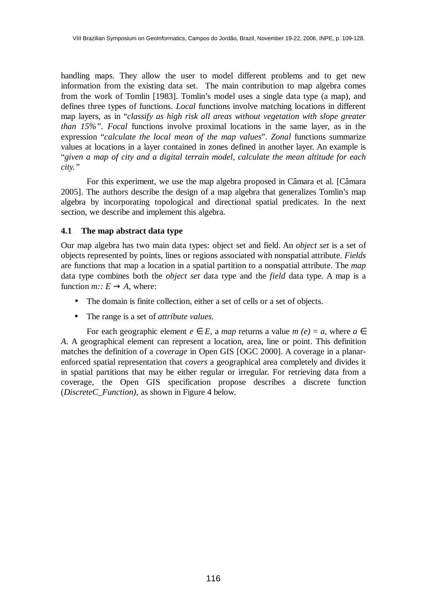handling maps. They allow the user to model different problems and to get new information from the existing data set. The main contribution to map algebra comes from the work of Tomlin [1983]. Tomlin's model uses a single data type (a map), and defines three types of functions. *Local* functions involve matching locations in different map layers, as in "*classify as high risk all areas without vegetation with slope greater than 15%". Focal* functions involve proximal locations in the same layer, as in the expression "*calculate the local mean of the map values*". *Zonal* functions summarize values at locations in a layer contained in zones defined in another layer. An example is "*given a map of city and a digital terrain model, calculate the mean altitude for each city."* 

For this experiment, we use the map algebra proposed in Câmara et al. [Câmara 2005]. The authors describe the design of a map algebra that generalizes Tomlin's map algebra by incorporating topological and directional spatial predicates. In the next section, we describe and implement this algebra.

## **4.1 The map abstract data type**

Our map algebra has two main data types: object set and field. An *object set* is a set of objects represented by points, lines or regions associated with nonspatial attribute. *Fields* are functions that map a location in a spatial partition to a nonspatial attribute. The *map* data type combines both the *object set* data type and the *field* data type. A map is a function  $m: E \otimes A$ , where:

- The domain is finite collection, either a set of cells or a set of objects.
- The range is a set of *attribute values*.

For each geographic element  $e \in E$ , a *map* returns a value  $m(e) = a$ , where  $a \in E$ *A*. A geographical element can represent a location, area, line or point. This definition matches the definition of a *coverage* in Open GIS [OGC 2000]. A coverage in a planarenforced spatial representation that *covers* a geographical area completely and divides it in spatial partitions that may be either regular or irregular. For retrieving data from a coverage, the Open GIS specification propose describes a discrete function (*DiscreteC\_Function),* as shown in Figure 4 below.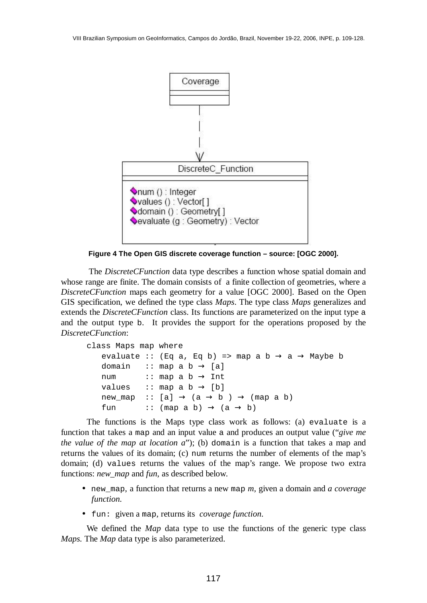

**Figure 4 The Open GIS discrete coverage function – source: [OGC 2000].** 

The *DiscreteCFunction* data type describes a function whose spatial domain and whose range are finite. The domain consists of a finite collection of geometries, where a *DiscreteCFunction* maps each geometry for a value [OGC 2000]. Based on the Open GIS specification, we defined the type class *Maps*. The type class *Maps* generalizes and extends the *DiscreteCFunction* class. Its functions are parameterized on the input type a and the output type b. It provides the support for the operations proposed by the *DiscreteCFunction*:

```
class Maps map where 
    evaluate :: (Eq a, Eq b) => map a b \rightarrow a \rightarrow Maybe b
    domain :: map a b \rightarrow [a]num \cdots map a b \rightarrow Intvalues :: map a b \rightarrow [b]new_map :: [a] \rightarrow (a \rightarrow b) \rightarrow (map a b)
    fun :: (\text{map } a b) \rightarrow (a \rightarrow b)
```
The functions is the Maps type class work as follows: (a) evaluate is a function that takes a map and an input value a and produces an output value ("*give me the value of the map at location a*"); (b) domain is a function that takes a map and returns the values of its domain; (c) num returns the number of elements of the map's domain; (d) values returns the values of the map's range. We propose two extra functions: *new\_map* and *fun*, as described below.

- new\_map, a function that returns a new map *m,* given a domain and *a coverage function.*
- fun: given a map*,* returns its *coverage function*.

We defined the *Map* data type to use the functions of the generic type class *Maps.* The *Map* data type is also parameterized.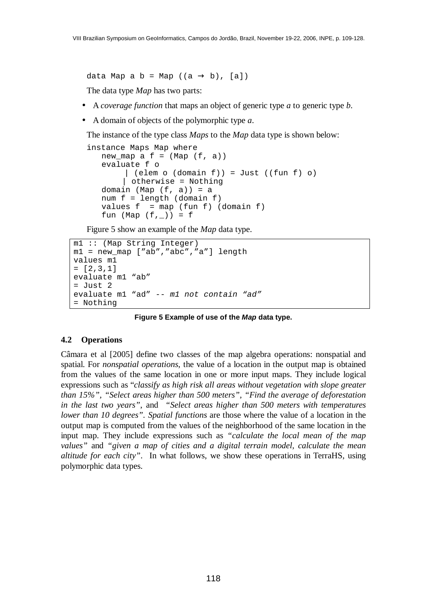data Map a  $b = Map ((a \rightarrow b), [a])$ 

The data type *Map* has two parts:

- A *coverage function* that maps an object of generic type *a* to generic type *b*.
- A domain of objects of the polymorphic type *a*.

The instance of the type class *Maps* to the *Map* data type is shown below:

```
instance Maps Map where 
   new_map a f = (Map (f, a))evaluate f o 
        | (elem o (domain f)) = Just ((fun f) o)
        | otherwise = Nothing 
   domain (Map (f, a)) = a
   num f = length (domain f) 
   values f = map (fun f) (domain f)fun (Map (f,-)) = f
```
Figure 5 show an example of the *Map* data type.

```
m1 :: (Map String Integer) 
ml = new map ["ab", "abc", "a"] length
values m1 
= [2, 3, 1]evaluate m1 "ab" 
= Just 2
evaluate m1 "ad" -- m1 not contain "ad" 
= Nothing
```
**Figure 5 Example of use of the** *Map* **data type.** 

#### **4.2 Operations**

Câmara et al [2005] define two classes of the map algebra operations: nonspatial and spatial. For *nonspatial operations*, the value of a location in the output map is obtained from the values of the same location in one or more input maps. They include logical expressions such as "*classify as high risk all areas without vegetation with slope greater than 15%", "Select areas higher than 500 meters", "Find the average of deforestation in the last two years"*, and *"Select areas higher than 500 meters with temperatures lower than 10 degrees". Spatial functions* are those where the value of a location in the output map is computed from the values of the neighborhood of the same location in the input map. They include expressions such as *"calculate the local mean of the map values"* and *"given a map of cities and a digital terrain model, calculate the mean altitude for each city"*. In what follows, we show these operations in TerraHS, using polymorphic data types.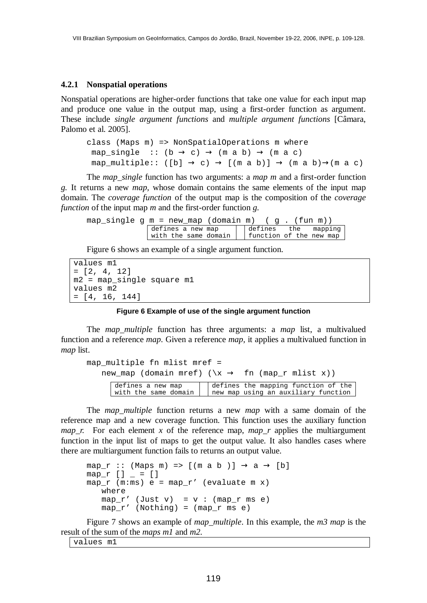#### **4.2.1 Nonspatial operations**

Nonspatial operations are higher-order functions that take one value for each input map and produce one value in the output map, using a first-order function as argument. These include *single argument functions* and *multiple argument functions* [Câmara, Palomo et al. 2005].

```
class (Maps m) => NonSpatialOperations m where 
 map single :: (b \rightarrow c) \rightarrow (m a b) \rightarrow (m a c)map multiple:: ([b] \rightarrow c) \rightarrow [(m a b)] \rightarrow (m a b) \rightarrow (m a c)
```
The *map\_single* function has two arguments: a *map m* and a first-order function *g.* It returns a new *map,* whose domain contains the same elements of the input map domain. The *coverage function* of the output map is the composition of the *coverage function* of the input map *m* and the first-order function *g.*

```
map_single g m = new_map (domain m) (g . (fun m))<br>defines a new map | defines the mappi
                   defines a new map
                  with the same domain
                                                defines the mapping 
                                               function of the new map
```
Figure 6 shows an example of a single argument function.

```
values m1 
= [2, 4, 12]m2 = map_single square m1 
values m2 
= [4, 16, 144]
```
#### **Figure 6 Example of use of the single argument function**

The *map\_multiple* function has three arguments: a *map* list, a multivalued function and a reference *map*. Given a reference *map,* it applies a multivalued function in *map* list.

```
map_multiple fn mlist mref = 
   new_map (domain mref) (\x \rightarrow fn (map_r mlist x))
       defines a new map 
      with the same domain 
                               defines the mapping function of the 
                               new map using an auxiliary function
```
The *map\_multiple* function returns a new *map* with a same domain of the reference map and a new coverage function. This function uses the auxiliary function *map\_r.* For each element *x* of the reference map, *map\_r* applies the multiargument function in the input list of maps to get the output value*.* It also handles cases where there are multiargument function fails to returns an output value.

```
map_r :: (Maps m) => [(m a b)] \rightarrow a \rightarrow [b]map_r [ ] = [ ]map_r (m:ms) e = map_r' (evaluate m x)
   where 
   map r' (Just v) = v : (map r ms e)
   map r' (Nothing) = (map r ms e)
```
Figure 7 shows an example of *map\_multiple*. In this example, the *m3 map* is the result of the sum of the *maps m1* and *m2.*

values m1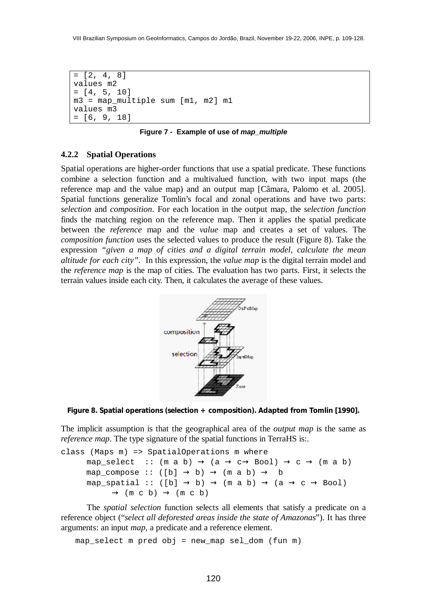```
= [2, 4, 8]values m2 
= [4, 5, 10]m3 = map_multiple sum [m1, m2] m1 
values m3 
= [6, 9, 18]
```
**Figure 7 - Example of use of** *map\_multiple*

## **4.2.2 Spatial Operations**

Spatial operations are higher-order functions that use a spatial predicate. These functions combine a selection function and a multivalued function, with two input maps (the reference map and the value map) and an output map [Câmara, Palomo et al. 2005]. Spatial functions generalize Tomlin's focal and zonal operations and have two parts: *selection* and *composition*. For each location in the output map, the *selection function* finds the matching region on the reference map. Then it applies the spatial predicate between the *reference* map and the *value* map and creates a set of values. The *composition function* uses the selected values to produce the result (Figure 8). Take the expression *"given a map of cities and a digital terrain model, calculate the mean altitude for each city".* In this expression, the *value map* is the digital terrain model and the *reference map* is the map of cities. The evaluation has two parts. First, it selects the terrain values inside each city. Then, it calculates the average of these values.



**Figure 8. Spatial operations (selection + composition). Adapted from Tomlin [1990].** 

The implicit assumption is that the geographical area of the *output map* is the same as *reference map*. The type signature of the spatial functions in TerraHS is:.

class (Maps m) => SpatialOperations m where

map\_select ::  $(m a b) \rightarrow (a \rightarrow c \rightarrow Bool) \rightarrow c \rightarrow (m a b)$ map\_compose ::  $([b] \rightarrow b) \rightarrow (m a b) \rightarrow b$ map\_spatial ::  $([b] \rightarrow b) \rightarrow (m a b) \rightarrow (a \rightarrow c \rightarrow Bool)$  $\rightarrow$  (m c b)  $\rightarrow$  (m c b)

The *spatial selection* function selects all elements that satisfy a predicate on a reference object ("*select all deforested areas inside the state of Amazonas*"). It has three arguments: an input *map*, a predicate and a reference element.

map\_select m pred obj = new\_map sel\_dom (fun m)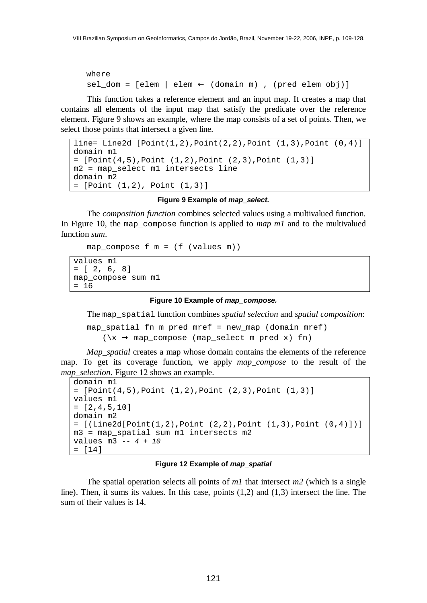```
where 
sel\_dom = [elem | elem \leftarrow (domain m), (pred elem obj)]
```
This function takes a reference element and an input map. It creates a map that contains all elements of the input map that satisfy the predicate over the reference element. Figure 9 shows an example, where the map consists of a set of points. Then, we select those points that intersect a given line.

```
line= Line2d [Point(1,2), Point(2,2), Point(1,3), Point(0,4)]domain m1 
= [Point(4,5),Point (1,2),Point (2,3),Point (1,3)] 
m2 = map_select m1 intersects line 
domain m2 
= [Point (1,2), Point (1,3)]
```
#### **Figure 9 Example of** *map\_select.*

The *composition function* combines selected values using a multivalued function. In Figure 10, the map\_compose function is applied to *map m1* and to the multivalued function *sum*.

```
map\_compose \t f \t (values m)
```

```
values m1 
= [ 2, 6, 8]map_compose sum m1 
= 16
```
#### **Figure 10 Example of** *map\_compose.*

The map\_spatial function combines *spatial selection* and *spatial composition*:

```
map_spatial fn m pred mref = new_map (domain mref) 
     (\x \rightarrow \text{map} \text{ compose} (\text{map} \text{select} \text{m} \text{pred} \text{x}) \text{fn})
```
*Map\_spatial* creates a map whose domain contains the elements of the reference map. To get its coverage function, we apply *map\_compose* to the result of the *map\_selection*. Figure 12 shows an example.

```
domain m1 
= [Point(4,5),Point (1,2),Point (2,3),Point (1,3)] 
values m1 
= [2, 4, 5, 10]domain m2 
= [(Line 2d[Point (1, 2), Point (2, 2), Point (1, 3), Point (0, 4) ])]m3 = map_spatial sum m1 intersects m2 
values m3 -- 4 + 10
= [14]
```
#### **Figure 12 Example of** *map***\_***spatial*

The spatial operation selects all points of *m1* that intersect *m2* (which is a single line). Then, it sums its values. In this case, points (1,2) and (1,3) intersect the line. The sum of their values is 14.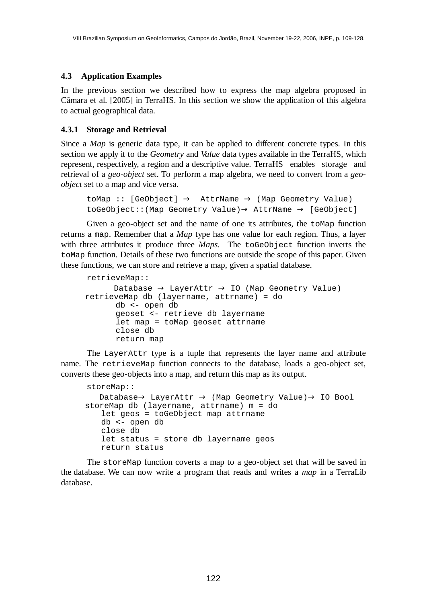### **4.3 Application Examples**

In the previous section we described how to express the map algebra proposed in Câmara et al. [2005] in TerraHS. In this section we show the application of this algebra to actual geographical data.

### **4.3.1 Storage and Retrieval**

Since a *Map* is generic data type, it can be applied to different concrete types. In this section we apply it to the *Geometry* and *Value* data types available in the TerraHS, which represent, respectively, a region and a descriptive value. TerraHS enables storage and retrieval of a *geo-object* set. To perform a map algebra, we need to convert from a *geoobject* set to a map and vice versa.

```
toMap :: [GeObject] \rightarrow AttrName \rightarrow (Map Geometry Value)
toGeObject::(Map Geometry Value)→ AttrName → [GeObject]
```
Given a geo-object set and the name of one its attributes, the tomap function returns a map. Remember that a *Map* type has one value for each region. Thus, a layer with three attributes it produce three *Maps*. The toGeObject function inverts the toMap function. Details of these two functions are outside the scope of this paper. Given these functions, we can store and retrieve a map, given a spatial database.

```
retrieveMap:: 
       Database \rightarrow LayerAttr \rightarrow IO (Map Geometry Value)
 retrieveMap db (layername, attrname) = do 
        db <- open db 
        geoset <- retrieve db layername 
        let map = toMap geoset attrname 
        close db 
        return map
```
The LayerAttr type is a tuple that represents the layer name and attribute name. The retrieveMap function connects to the database, loads a geo-object set, converts these geo-objects into a map, and return this map as its output.

```
storeMap:: 
    \texttt{Database} \rightarrow \texttt{Layer} \rightarrow (\texttt{Map Geometry Value}) \rightarrow \texttt{IO} \texttt{Bool} storeMap db (layername, attrname) m = do 
     let geos = toGeObject map attrname 
     db <- open db 
     close db 
     let status = store db layername geos 
     return status
```
The storeMap function coverts a map to a geo-object set that will be saved in the database. We can now write a program that reads and writes a *map* in a TerraLib database.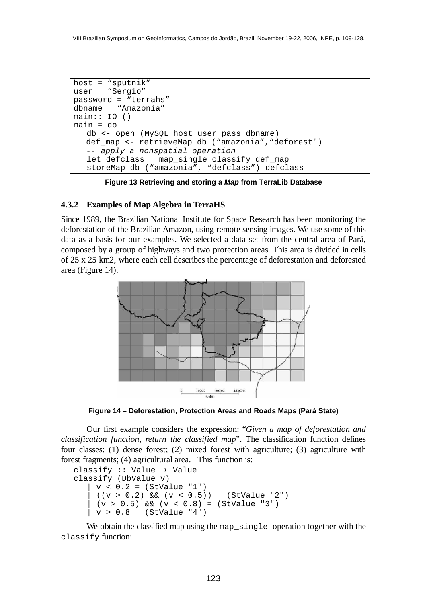```
host = "sputnik" 
user = "Sergio" 
password = "terrahs" 
dbname = "Amazonia" 
main: IO()main = do 
  db <- open (MySQL host user pass dbname) 
  def_map <- retrieveMap db ("amazonia","deforest") 
  -- apply a nonspatial operation 
   let defclass = map_single classify def_map 
   storeMap db ("amazonia", "defclass") defclass
```
**Figure 13 Retrieving and storing a** *Map* **from TerraLib Database** 

### **4.3.2 Examples of Map Algebra in TerraHS**

Since 1989, the Brazilian National Institute for Space Research has been monitoring the deforestation of the Brazilian Amazon, using remote sensing images. We use some of this data as a basis for our examples. We selected a data set from the central area of Pará, composed by a group of highways and two protection areas. This area is divided in cells of 25 x 25 km2, where each cell describes the percentage of deforestation and deforested area (Figure 14).



**Figure 14 – Deforestation, Protection Areas and Roads Maps (Pará State)** 

Our first example considers the expression: "*Given a map of deforestation and classification function, return the classified map*". The classification function defines four classes: (1) dense forest; (2) mixed forest with agriculture; (3) agriculture with forest fragments; (4) agricultural area. This function is:

```
classify :: Value \rightarrow Value
classify (DbValue v) 
    v < 0.2 = (StValue "1")((v > 0.2) && (v < 0.5)) = (StValue "2")(v > 0.5) & (v < 0.8) = (StValue "3")v > 0.8 = (StValue "4")
```
We obtain the classified map using the map\_single operation together with the classify function: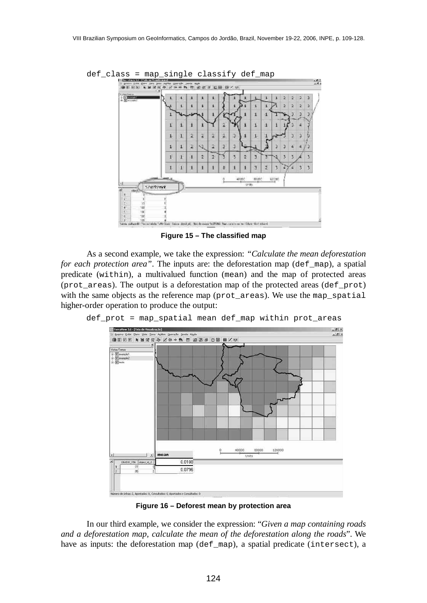

**Figure 15 – The classified map** 

As a second example, we take the expression: *"Calculate the mean deforestation for each protection area"*. The inputs are: the deforestation map (def\_map), a spatial predicate (within), a multivalued function (mean) and the map of protected areas (prot\_areas). The output is a deforestation map of the protected areas (def\_prot) with the same objects as the reference map (prot\_areas). We use the map\_spatial higher-order operation to produce the output:



def\_prot = map\_spatial mean def\_map within prot\_areas

**Figure 16 – Deforest mean by protection area**

In our third example, we consider the expression: "*Given a map containing roads and a deforestation map, calculate the mean of the deforestation along the roads*". We have as inputs: the deforestation map (def\_map), a spatial predicate (intersect), a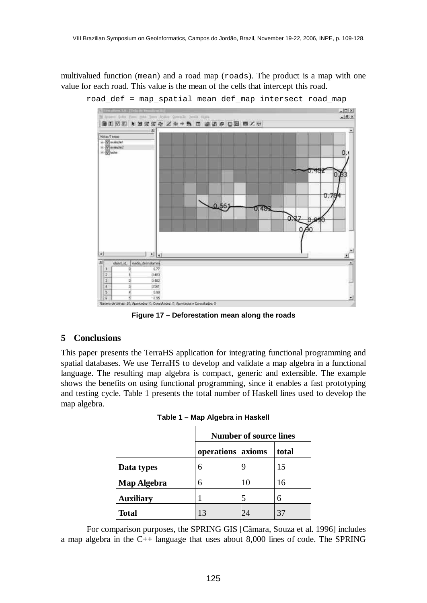multivalued function (mean) and a road map (roads). The product is a map with one value for each road. This value is the mean of the cells that intercept this road.



road\_def = map\_spatial mean def\_map intersect road\_map

**Figure 17 – Deforestation mean along the roads**

# **5 Conclusions**

This paper presents the TerraHS application for integrating functional programming and spatial databases. We use TerraHS to develop and validate a map algebra in a functional language. The resulting map algebra is compact, generic and extensible. The example shows the benefits on using functional programming, since it enables a fast prototyping and testing cycle. Table 1 presents the total number of Haskell lines used to develop the map algebra.

|                    | <b>Number of source lines</b> |                |       |  |  |
|--------------------|-------------------------------|----------------|-------|--|--|
|                    | operations axioms             |                | total |  |  |
| Data types         | 6                             | Ч              | 15    |  |  |
| <b>Map Algebra</b> | 6                             | 10             | 16    |  |  |
| <b>Auxiliary</b>   |                               |                | 6     |  |  |
| <b>Total</b>       |                               | $\overline{A}$ |       |  |  |

**Table 1 – Map Algebra in Haskell** 

For comparison purposes, the SPRING GIS [Câmara, Souza et al. 1996] includes a map algebra in the C++ language that uses about 8,000 lines of code. The SPRING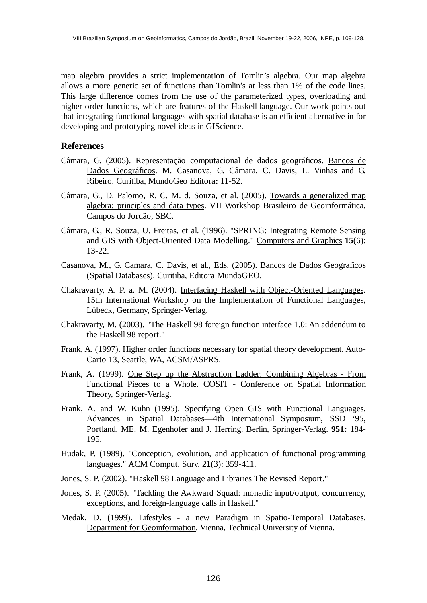map algebra provides a strict implementation of Tomlin's algebra. Our map algebra allows a more generic set of functions than Tomlin's at less than 1% of the code lines. This large difference comes from the use of the parameterized types, overloading and higher order functions, which are features of the Haskell language. Our work points out that integrating functional languages with spatial database is an efficient alternative in for developing and prototyping novel ideas in GIScience.

### **References**

- Câmara, G. (2005). Representação computacional de dados geográficos. Bancos de Dados Geográficos. M. Casanova, G. Câmara, C. Davis, L. Vinhas and G. Ribeiro. Curitiba, MundoGeo Editora**:** 11-52.
- Câmara, G., D. Palomo, R. C. M. d. Souza, et al. (2005). Towards a generalized map algebra: principles and data types. VII Workshop Brasileiro de Geoinformática, Campos do Jordão, SBC.
- Câmara, G., R. Souza, U. Freitas, et al. (1996). "SPRING: Integrating Remote Sensing and GIS with Object-Oriented Data Modelling." Computers and Graphics **15**(6): 13-22.
- Casanova, M., G. Camara, C. Davis, et al., Eds. (2005). Bancos de Dados Geograficos (Spatial Databases). Curitiba, Editora MundoGEO.
- Chakravarty, A. P. a. M. (2004). Interfacing Haskell with Object-Oriented Languages. 15th International Workshop on the Implementation of Functional Languages, Lübeck, Germany, Springer-Verlag.
- Chakravarty, M. (2003). "The Haskell 98 foreign function interface 1.0: An addendum to the Haskell 98 report."
- Frank, A. (1997). Higher order functions necessary for spatial theory development. Auto-Carto 13, Seattle, WA, ACSM/ASPRS.
- Frank, A. (1999). One Step up the Abstraction Ladder: Combining Algebras From Functional Pieces to a Whole. COSIT - Conference on Spatial Information Theory, Springer-Verlag.
- Frank, A. and W. Kuhn (1995). Specifying Open GIS with Functional Languages. Advances in Spatial Databases—4th International Symposium, SSD '95, Portland, ME. M. Egenhofer and J. Herring. Berlin, Springer-Verlag. **951:** 184- 195.
- Hudak, P. (1989). "Conception, evolution, and application of functional programming languages." ACM Comput. Surv. **21**(3): 359-411.
- Jones, S. P. (2002). "Haskell 98 Language and Libraries The Revised Report."
- Jones, S. P. (2005). "Tackling the Awkward Squad: monadic input/output, concurrency, exceptions, and foreign-language calls in Haskell."
- Medak, D. (1999). Lifestyles a new Paradigm in Spatio-Temporal Databases. Department for Geoinformation. Vienna, Technical University of Vienna.